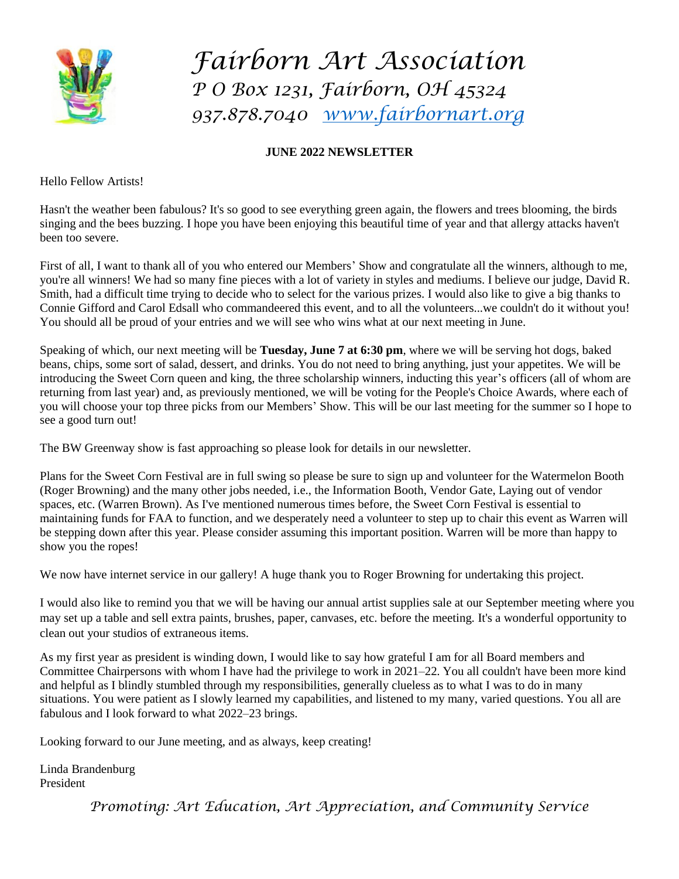

# *Fairborn Art Association P O Box 1231, Fairborn, OH 45324 937.878.7040 [www.fairbornart.org](http://www.fairbornart.org/)*

## **JUNE 2022 NEWSLETTER**

Hello Fellow Artists!

Hasn't the weather been fabulous? It's so good to see everything green again, the flowers and trees blooming, the birds singing and the bees buzzing. I hope you have been enjoying this beautiful time of year and that allergy attacks haven't been too severe.

First of all, I want to thank all of you who entered our Members' Show and congratulate all the winners, although to me, you're all winners! We had so many fine pieces with a lot of variety in styles and mediums. I believe our judge, David R. Smith, had a difficult time trying to decide who to select for the various prizes. I would also like to give a big thanks to Connie Gifford and Carol Edsall who commandeered this event, and to all the volunteers...we couldn't do it without you! You should all be proud of your entries and we will see who wins what at our next meeting in June.

Speaking of which, our next meeting will be **Tuesday, June 7 at 6:30 pm**, where we will be serving hot dogs, baked beans, chips, some sort of salad, dessert, and drinks. You do not need to bring anything, just your appetites. We will be introducing the Sweet Corn queen and king, the three scholarship winners, inducting this year's officers (all of whom are returning from last year) and, as previously mentioned, we will be voting for the People's Choice Awards, where each of you will choose your top three picks from our Members' Show. This will be our last meeting for the summer so I hope to see a good turn out!

The BW Greenway show is fast approaching so please look for details in our newsletter.

Plans for the Sweet Corn Festival are in full swing so please be sure to sign up and volunteer for the Watermelon Booth (Roger Browning) and the many other jobs needed, i.e., the Information Booth, Vendor Gate, Laying out of vendor spaces, etc. (Warren Brown). As I've mentioned numerous times before, the Sweet Corn Festival is essential to maintaining funds for FAA to function, and we desperately need a volunteer to step up to chair this event as Warren will be stepping down after this year. Please consider assuming this important position. Warren will be more than happy to show you the ropes!

We now have internet service in our gallery! A huge thank you to Roger Browning for undertaking this project.

I would also like to remind you that we will be having our annual artist supplies sale at our September meeting where you may set up a table and sell extra paints, brushes, paper, canvases, etc. before the meeting. It's a wonderful opportunity to clean out your studios of extraneous items.

As my first year as president is winding down, I would like to say how grateful I am for all Board members and Committee Chairpersons with whom I have had the privilege to work in 2021–22. You all couldn't have been more kind and helpful as I blindly stumbled through my responsibilities, generally clueless as to what I was to do in many situations. You were patient as I slowly learned my capabilities, and listened to my many, varied questions. You all are fabulous and I look forward to what 2022–23 brings.

Looking forward to our June meeting, and as always, keep creating!

Linda Brandenburg President

*Promoting: Art Education, Art Appreciation, and Community Service*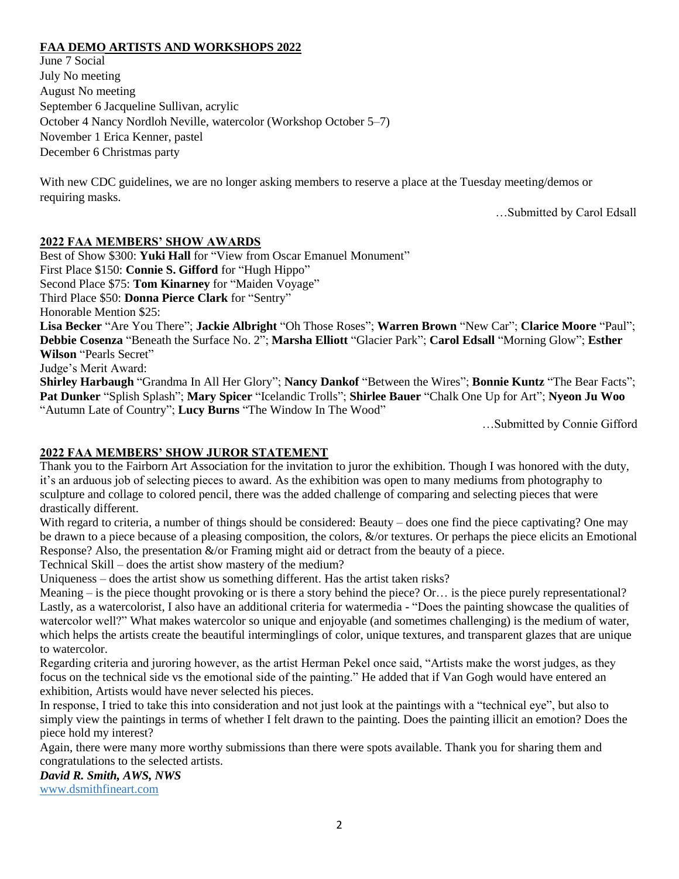## **FAA DEMO ARTISTS AND WORKSHOPS 2022**

June 7 Social July No meeting August No meeting September 6 Jacqueline Sullivan, acrylic October 4 Nancy Nordloh Neville, watercolor (Workshop October 5–7) November 1 Erica Kenner, pastel December 6 Christmas party

With new CDC guidelines, we are no longer asking members to reserve a place at the Tuesday meeting/demos or requiring masks.

…Submitted by Carol Edsall

### **2022 FAA MEMBERS' SHOW AWARDS**

Best of Show \$300: **Yuki Hall** for "View from Oscar Emanuel Monument" First Place \$150: **Connie S. Gifford** for "Hugh Hippo" Second Place \$75: **Tom Kinarney** for "Maiden Voyage" Third Place \$50: **Donna Pierce Clark** for "Sentry" Honorable Mention \$25: **Lisa Becker** "Are You There"; **Jackie Albright** "Oh Those Roses"; **Warren Brown** "New Car"; **Clarice Moore** "Paul"; **Debbie Cosenza** "Beneath the Surface No. 2"; **Marsha Elliott** "Glacier Park"; **Carol Edsall** "Morning Glow"; **Esther Wilson** "Pearls Secret"

Judge's Merit Award:

**Shirley Harbaugh** "Grandma In All Her Glory"; **Nancy Dankof** "Between the Wires"; **Bonnie Kuntz** "The Bear Facts"; **Pat Dunker** "Splish Splash"; **Mary Spicer** "Icelandic Trolls"; **Shirlee Bauer** "Chalk One Up for Art"; **Nyeon Ju Woo** "Autumn Late of Country"; **Lucy Burns** "The Window In The Wood"

…Submitted by Connie Gifford

## **2022 FAA MEMBERS' SHOW JUROR STATEMENT**

Thank you to the Fairborn Art Association for the invitation to juror the exhibition. Though I was honored with the duty, it's an arduous job of selecting pieces to award. As the exhibition was open to many mediums from photography to sculpture and collage to colored pencil, there was the added challenge of comparing and selecting pieces that were drastically different.

With regard to criteria, a number of things should be considered: Beauty – does one find the piece captivating? One may be drawn to a piece because of a pleasing composition, the colors, &/or textures. Or perhaps the piece elicits an Emotional Response? Also, the presentation &/or Framing might aid or detract from the beauty of a piece.

Technical Skill – does the artist show mastery of the medium?

Uniqueness – does the artist show us something different. Has the artist taken risks?

Meaning – is the piece thought provoking or is there a story behind the piece? Or… is the piece purely representational? Lastly, as a watercolorist, I also have an additional criteria for watermedia - "Does the painting showcase the qualities of watercolor well?" What makes watercolor so unique and enjoyable (and sometimes challenging) is the medium of water, which helps the artists create the beautiful interminglings of color, unique textures, and transparent glazes that are unique to watercolor.

Regarding criteria and juroring however, as the artist Herman Pekel once said, "Artists make the worst judges, as they focus on the technical side vs the emotional side of the painting." He added that if Van Gogh would have entered an exhibition, Artists would have never selected his pieces.

In response, I tried to take this into consideration and not just look at the paintings with a "technical eye", but also to simply view the paintings in terms of whether I felt drawn to the painting. Does the painting illicit an emotion? Does the piece hold my interest?

Again, there were many more worthy submissions than there were spots available. Thank you for sharing them and congratulations to the selected artists.

*David R. Smith, AWS, NWS* [www.dsmithfineart.com](http://www.dsmithfineart.com/)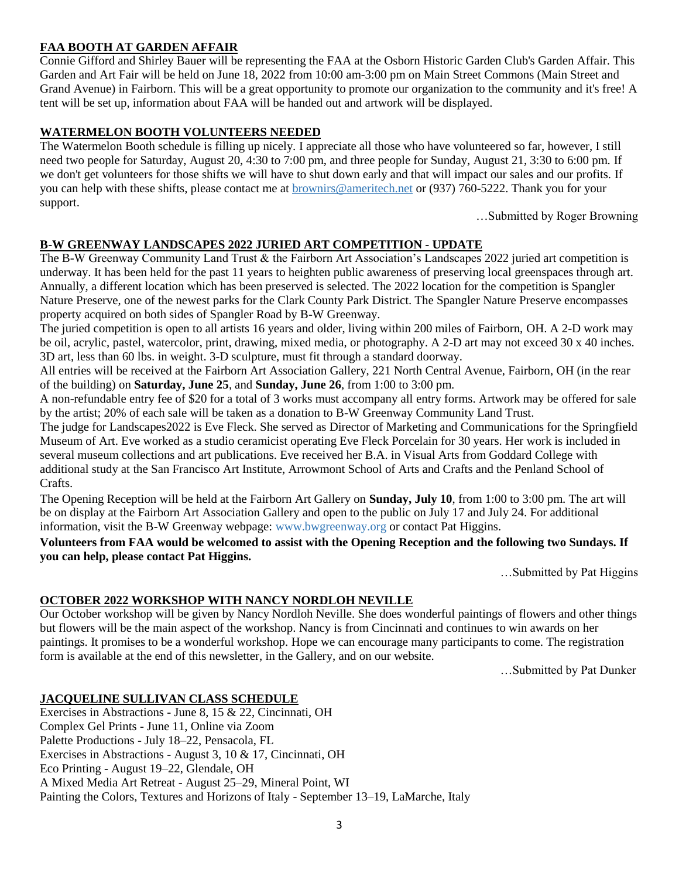## **FAA BOOTH AT GARDEN AFFAIR**

Connie Gifford and Shirley Bauer will be representing the FAA at the Osborn Historic Garden Club's Garden Affair. This Garden and Art Fair will be held on June 18, 2022 from 10:00 am-3:00 pm on Main Street Commons (Main Street and Grand Avenue) in Fairborn. This will be a great opportunity to promote our organization to the community and it's free! A tent will be set up, information about FAA will be handed out and artwork will be displayed.

#### **WATERMELON BOOTH VOLUNTEERS NEEDED**

The Watermelon Booth schedule is filling up nicely. I appreciate all those who have volunteered so far, however, I still need two people for Saturday, August 20, 4:30 to 7:00 pm, and three people for Sunday, August 21, 3:30 to 6:00 pm. If we don't get volunteers for those shifts we will have to shut down early and that will impact our sales and our profits. If you can help with these shifts, please contact me at [brownirs@ameritech.net](mailto:brownirs@ameritech.net) or (937) 760-5222. Thank you for your support.

…Submitted by Roger Browning

### **B-W GREENWAY LANDSCAPES 2022 JURIED ART COMPETITION - UPDATE**

The B-W Greenway Community Land Trust & the Fairborn Art Association's Landscapes 2022 juried art competition is underway. It has been held for the past 11 years to heighten public awareness of preserving local greenspaces through art. Annually, a different location which has been preserved is selected. The 2022 location for the competition is Spangler Nature Preserve, one of the newest parks for the Clark County Park District. The Spangler Nature Preserve encompasses property acquired on both sides of Spangler Road by B-W Greenway.

The juried competition is open to all artists 16 years and older, living within 200 miles of Fairborn, OH. A 2-D work may be oil, acrylic, pastel, watercolor, print, drawing, mixed media, or photography. A 2-D art may not exceed 30 x 40 inches. 3D art, less than 60 lbs. in weight. 3-D sculpture, must fit through a standard doorway.

All entries will be received at the Fairborn Art Association Gallery, 221 North Central Avenue, Fairborn, OH (in the rear of the building) on **Saturday, June 25**, and **Sunday, June 26**, from 1:00 to 3:00 pm.

A non-refundable entry fee of \$20 for a total of 3 works must accompany all entry forms. Artwork may be offered for sale by the artist; 20% of each sale will be taken as a donation to B-W Greenway Community Land Trust.

The judge for Landscapes2022 is Eve Fleck. She served as Director of Marketing and Communications for the Springfield Museum of Art. Eve worked as a studio ceramicist operating Eve Fleck Porcelain for 30 years. Her work is included in several museum collections and art publications. Eve received her B.A. in Visual Arts from Goddard College with additional study at the San Francisco Art Institute, Arrowmont School of Arts and Crafts and the Penland School of Crafts.

The Opening Reception will be held at the Fairborn Art Gallery on **Sunday, July 10**, from 1:00 to 3:00 pm. The art will be on display at the Fairborn Art Association Gallery and open to the public on July 17 and July 24. For additional information, visit the B-W Greenway webpage: www.bwgreenway.org or contact Pat Higgins.

**Volunteers from FAA would be welcomed to assist with the Opening Reception and the following two Sundays. If you can help, please contact Pat Higgins.**

…Submitted by Pat Higgins

#### **OCTOBER 2022 WORKSHOP WITH NANCY NORDLOH NEVILLE**

Our October workshop will be given by Nancy Nordloh Neville. She does wonderful paintings of flowers and other things but flowers will be the main aspect of the workshop. Nancy is from Cincinnati and continues to win awards on her paintings. It promises to be a wonderful workshop. Hope we can encourage many participants to come. The registration form is available at the end of this newsletter, in the Gallery, and on our website.

…Submitted by Pat Dunker

## **JACQUELINE SULLIVAN CLASS SCHEDULE**

Exercises in Abstractions - June 8, 15 & 22, Cincinnati, OH Complex Gel Prints - June 11, Online via Zoom Palette Productions - July 18–22, Pensacola, FL Exercises in Abstractions - August 3, 10 & 17, Cincinnati, OH Eco Printing - August 19–22, Glendale, OH A Mixed Media Art Retreat - August 25–29, Mineral Point, WI Painting the Colors, Textures and Horizons of Italy - September 13–19, LaMarche, Italy